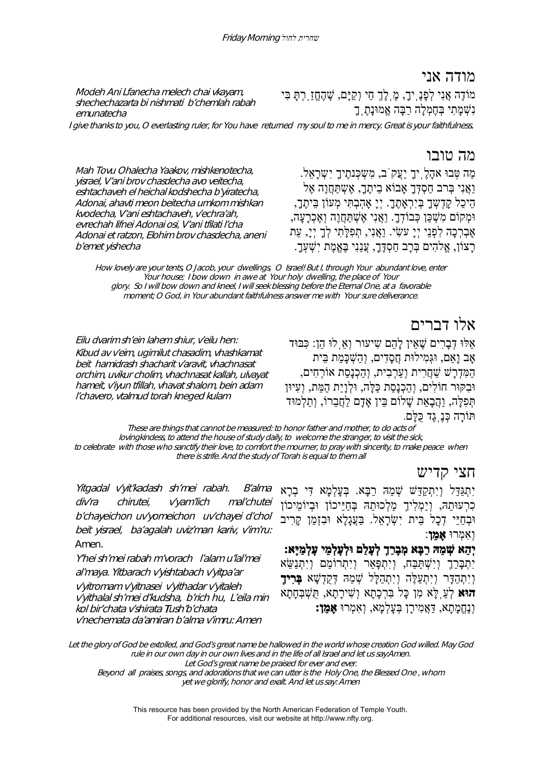## מודה אני

Modeh Ani Lfanecha melech chai vkayam, shechechazarta bi nishmati b'chemlah rabah emunatecha

מוֹדֶה אֲנִי לְפָנֶֽיך,ָ מֶֽלֶךְ חַי וְקַיָּם, שֶׁ הֶחֱזַֽרְתָּ בִּי נִשְׁ מָתִי בְּחֶמְלָה רַבָּה אֱמוּנָתֶֽךָ

I give thanks to you, O everlasting ruler, for You have returned my soul to me in mercy. Great is your faithfulness.

## מה טובו

Mah Tovu Ohalecha Yaakov, mishkenotecha, yisrael, V'ani brov chasdecha avo veitecha, eshtachaveh el heichal kodshecha b'yiratecha, Adonai, ahavti meon beitecha umkom mishkan kvodecha, V'ani eshtachaveh, v'echra'ah, evrechah lifnei Adonai osi, V'ani tfilati l'cha Adonai et ratzon, Elohim brov chasdecha, aneni b'emet yishecha מה טִּבוּ אהָלֶ יִךָ יַעֲקֹב, מִשְׁכָּנתֵיךָ יִשְׁרָאל. וַאֲנִי בְּרב חַסְדְּךָ אָבוֹא בֵיתֶךָ, אֶשְתַּחֲוֶה אֶל הֵיכַל קָדְשְ ךָ בְּיִרְאָתֶך.ָ יְיָ אָהֽבְתִּי מְעוֹן בֵּיתֶך,ָ וּמְקוֹם מִשְׁ כַּן כְּבוֹדֽ .ךָ וַאֲנִי אֶשְׁ תַּחֲוֶה וְאֶכְרָעָה, אֶבְרְכָה לִפְנֵי יִי עַשִׂי. וַאֲנִי, תִפְלָּתִי לְךָ יִיָ, עֵת ּרָצוֹן, אֱלֹהִים בְּרָב חִסְדֶּךָ, עֲנִנִי בָּאֱמֶת יִשָׁעָךָ.

How lovely are your tents, O Jacob, your dwellings, O Israel! But I, through Your abundant love, enter Your house; I bow down in awe at Your holy dwelling, the place of Your glory. So I will bow down and kneel, I will seek blessing before the Eternal One, at a favorable moment; O God, in Your abundant faithfulness answer me with Your sure deliverance.

אלו דברים

אַלּוּ דָבְרִים שֵׁאִין לָהָם שִיעור וָאַ לוּ הֵן: כַּבּוּד אָב וָאֵם, וּגְּמִילוּת חֲסָדִים, וְהַשְׁ כָּמַת בֵּית הַמִּדְרָשׁ שַׁ חֲרִית וְעַרְבִית, וְהַכְנָסַת אוֹרְחִים, וּבִקּוּר חוֹלִים, וְהַכְנָסַת כַּלָּה, וּלְוָיַת הַמֵּת, וְעִיוּן תְּפִלָּה, וַהֲבָאַת שָׁ לוֹם בֵּין אָדָם לַחֲבֵרוֹ, וְתַלְמוּד תּוֹרָה כְּנֶֽגֶד כֻּלָּם.

These are things that cannot be measured: to honor father and mother, to do acts of lovingkindess, to attend the house of study daily, to welcome the stranger, to visit the sick, to celebrate with those who sanctify their love, to comfort the mourner, to pray with sincerity, to make peace when there is strife. And the study of Torah is equal to them all

חצי קדיש

Yitgadal v'yit'kadash sh'mei rabah. B'alma div'ra chirutei, v'yam'lich mal'chutei b'chayeichon uv'yomeichon uv'chayei d'chol beit yisrael, ba'agalah uviz'man kariv, v'im'ru: Amen.

Eilu dvarim sh'ein lahem shiur, v'eilu hen: Kibud av v'eim, ugimilut chasadim, vhashkamat beit hamidrash shacharit v'aravit, vhachnasat orchim, uvikur cholim, vhachnasat kallah, ulvayat hameit, v'iyun tfillah, vhavat shalom, bein adam

l'chavero, vtalmud torah kneged kulam

Y'hei sh'mei rabah m'vorach l'alam u'lal'mei al'maya. Yitbarach v'yishtabach v'yitpa'ar <sup>v</sup>'yitromam v'yitnasei v'yithadar v'yitaleh <sup>v</sup>'yithalal sh'mei d'kudsha, b'rich hu, L'eila min kol bir'chata v'shirata Tush'b'chata v'nechemata da'amiran b'alma v'imru: Amen

יִתְגַּדַּל וְיִתְקַדַּשׁ שְׁ מֵהּ רַבָּא. בְּעָלְמָא דִּי בְרָא כִרְעוּתֵהּ, וְיַמְלִיךְ מַלְכוּתֵהּ בְּחַיֵּיכוֹן וּבְיוֹמֵיכוֹן וּבְחַיֵּי דְכָל בֵּית יְשָׂרָאֵל. בַּעֲגָלָא וּבְזְמַן קָרִיב וְאִמְרוּ **אָמֵן**:

## **יְהֵא שְׁ מֵהּ רַבָּא מְבָרַךְ לְעָלַם וּלְעָלְמֵי עָלְמַיָּא:**

יִתְבָּרַךְ וְיִשְׁתַּבָּח, וְיִתְפָּאַר וְיִתְרוֹמַם וְיִתְנַשֵּׂא וְיִתְהַדָּר וְיִתְעַלֶּה וְיִתְהַלָּל שְׁ מֵהּ דְּקֻדְשָׁ א **בְּרִיךְ הוּא** לְעֵֽלָּא מִן כָּל בִּרְכָתָא וְשִׁ ירָתָא, תֻּשְׁ בְּחָתָא וְנֶחֱמָתָא, דַּאֲמִירָן בְּעָלְמָא, וְאִמְרוּ **אָמֵן:**

Let the glory of God be extolled, and God's great name be hallowed in the world whose creation God willed. May God rule in our own day in our own lives and in the life of all Israel and let us say:Amen.

Let God's great name be praised for ever and ever.

Beyond all praises, songs, and adorations that we can utter is the Holy One, the Blessed One , whom yet we glorify, honor and exalt. And let us say: Amen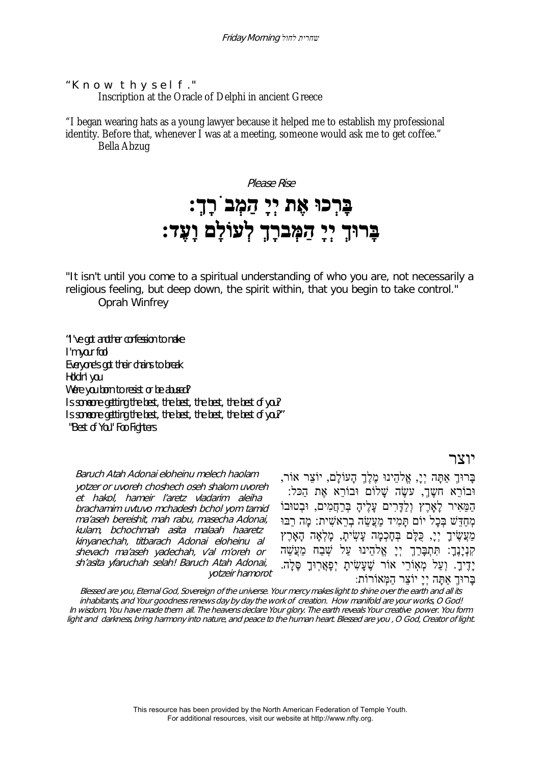"Know thyself." Inscription at the Oracle of Delphi in ancient Greece

"I began wearing hats as a young lawyer because it helped me to establish my professional identity. Before that, whenever I was at a meeting, someone would ask me to get coffee." Bella Abzug

> Please Rise **בָּרְכוּ אֶת יְיָ הַמְבֹרָך:ְ בָּרוּךְ יְיָ הַמְּברָךְ לְעוֹלָם וָעֶד:**

"It isn't until you come to a spiritual understanding of who you are, not necessarily a religious feeling, but deep down, the spirit within, that you begin to take control." Oprah Winfrey

"I've got another confession to make I'm your fool Everyone's got their chains to break Holdin' you Were you born to resist or be abused? Is someone getting the best, the best, the best, the best of you? Is someone getting the best, the best, the best, the best of you?" "Best of You" Foo Fighters

Baruch Atah Adonai eloheinu melech haolam yotzer or uvoreh choshech oseh shalom uvoreh et hakol, hameir l'aretz vladarim aleiha brachamim uvtuvo mchadesh bchol yom tamid ma'aseh bereishit, mah rabu, masecha Adonai, kulam, bchochmah asita malaah haaretz kinyanechah, titbarach Adonai eloheinu al shevach ma'aseh yadechah, v'al m'oreh or sh'asita yfaruchah selah! Baruch Atah Adonai, yotzeir hamorot

בָּרוּךְ אַתָּה יְי,ָ אֱלהֵינוּ מֶלֶךְ הָעוֹלָם, יוֹצֵר אוֹר, וּבוֹרֹא חשֶׁךָ, עַשֶׂה שַׁלוֹם וּבוֹרֹא אֶת הַכּל הַמֵּאִיר לָאָֽרֶץ וְלַדָּרִים עָלֶיהָ בְּרַחֲמִים, וּבְטוּבוֹ מְחַדֵּשׁ בְּכָל יוֹם תָּמִיד מַעֲשֵׂ ה בְרֵאשִׁ ית: מָה רַבּוּ מַעֲשֵׂיךָ יְיָ, כְּלָּם בְּחָכְמָה עָשִׂיתָ, מָלְאָה הָאָרֶץ ַקְּנְיָנֶךָ: תִּתְבָּרַךְ יְיָ אֱלֹהֵינוּ עַל שְׁבַח מַעֲשֵׁה יָדֶיךָ. וְעַל מְאָוֹרֵי אוֹר שֶׁעָשִׂיתָ יְפָאֲרִוּךָ סֶּלָה. בָּרוּךְ אַתָּה יְיָ יוֹצֵר הַמְּאוֹרוֹת:

Blessed are you, Eternal God, Sovereign of the universe. Your mercy makes light to shine over the earth and all its inhabitants, and Your goodness renews day by day the work of creation. How manifold are your works, O God! In wisdom, You have made them all. The heavens declare Your glory. The earth reveals Your creative power. You form light and darkness, bring harmony into nature, and peace to the human heart. Blessed are you , O God, Creator of light.

> This resource has been provided by the North American Federation of Temple Youth. For additional resources, visit our website at http://www.nfty.org.

#### יוצר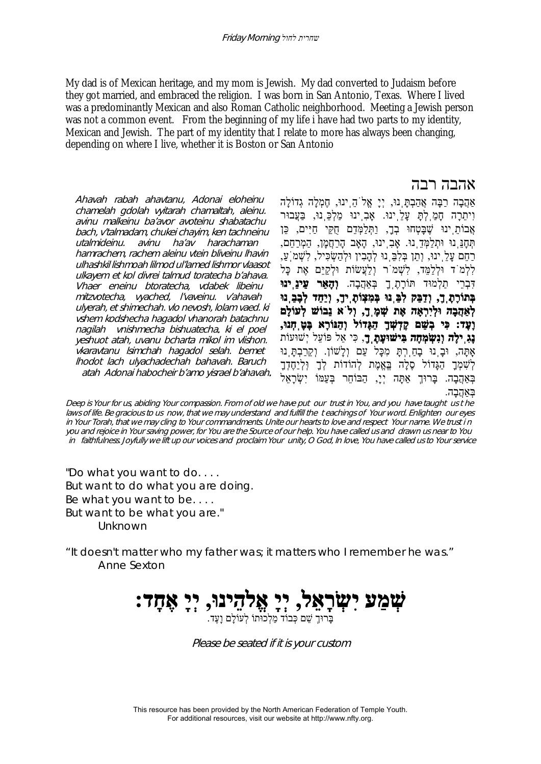My dad is of Mexican heritage, and my mom is Jewish. My dad converted to Judaism before they got married, and embraced the religion. I was born in San Antonio, Texas. Where I lived was a predominantly Mexican and also Roman Catholic neighborhood. Meeting a Jewish person was not a common event. From the beginning of my life i have had two parts to my identity, Mexican and Jewish. The part of my identity that I relate to more has always been changing, depending on where I live, whether it is Boston or San Antonio

Ahavah rabah ahavtanu, Adonai eloheinu chamelah gdolah vyitarah chamaltah, aleinu. avinu malkeinu ba'avor avoteinu shabatachu bach, v'talmadam, chukei chayim, ken tachneinu utalmideinu. avinu ha'av harachaman hamrachem, rachem aleinu vtein bliveinu lhavin ulhashkil lishmoah lilmod ul'lamed lishmor vlaasot ulkayem et kol divrei talmud toratecha b'ahava. Vhaer eneinu btoratecha, vdabek libeinu mitzvotecha, vyached, l'vaveinu. v'ahavah ulyerah, et shimechah. vlo nevosh, lolam vaed. ki vshem kodshecha hagadol vhanorah batachnu nagilah vnishmecha bishuatecha. ki el poel yeshuot atah, uvanu bcharta mikol im vlishon. vkaravtanu lsimchah hagadol selah. bemet lhodot lach ulyachadechah bahavah. Baruch atah Adonai habocheir b'amo yisrael b'ahavah.

## אהבה רבה

אַהֲבָה רַבָּה אֲהַבְתָּֽנוּ, יְיָ אֱלֹהֵֽינוּ, חֶמְלָה גְדוֹלָה וִיתֵרָה חָמַֽלְתָּ עָלֵֽינוּ. אָבִֽינוּ מַלְכֵּֽנוּ, בַּעֲבוּר אֲבוֹתֵ ִינוּ שֶׁבָּטְחוּ בְדָ, וַתְּלַמְּדֵם חֻקֵּי חַיִּים, כֵּן תְּחָנֵּֽנוּ וּתְלַמְּדֵֽנוּ. אָבִֽינוּ, הָאָב הָרַחֲמָן, הַמְרַחֵם, ּרַחֵם עַלֵּ ינוּ, וְתֵן בְּלִבְּ נוּ לְהָבִין וּלְהַשְׂכִּיל, לִשְׁמֹ עַ, לִלְמֹד וּלְלַמֵּד, לִשְׁ מֹר וְלַעֲשׂוֹת וּלְקַיֵּם אֶת כָּל דִּבְרֵי תַלְמוּד תּוֹרָתֶֽךָ בְּאַהֲבָה. **וְהָאֵר עֵינֵֽינוּ בְּתוֹרָתֶֽך,ָ וְדַבֵּק לִבֵּֽנוּ בְּמִצְוֹתֶֽיךָ ו,ְ יַחֵד לְבָבֵֽנוּ לְאַהֲבָה וּלְיִרְאָה אֶת שְׁ מֶֽך,ָ וְלֹא נֵבוֹשׁ לְעוֹלָם וָעֶד: כִּי בְשֵׁ ם קָדְשְׁ ךָ הַגָּדוֹל וְהַנּוֹרָא בָּטָֽחְנוּ, נָגִֽילָה וְנִשְׂ מְחָה בִּישׁוּעָתֶֽך**,**ָ** כִּי אֵל פּוֹעֵל יְשׁוּעוֹת אָֽתָּה, וּבָֽנוּ בָחַֽרְתָּ מִכָּל עַם וְלָשׁוֹן. וְקֵרַבְתָּֽנוּ לְשָׁמְךָ הַגָּדוֹל סֶלָה בֵּאֱמֶת לְהוֹדוֹת לְךָ וִּלְיַחֶדְךָ בְּאַהֲבָה. בַּרוּךְ אַתַּה יְיָ, הַבּוֹחֵר בְּעַמּוֹ יִשְׂרָאֵל בְּאַהֲבָה.

Deep is Your for us, abiding Your compassion. From of old we have put our trust in You, and you have taught us t he laws of life. Be gracious to us now, that we may understand and fulfill the t eachings of Your word. Enlighten our eyes in Your Torah, that we may cling to Your commandments. Unite our hearts to love and respect Your name. We trust i n you and rejoice in Your saving power, for You are the Source of our help. You have called us and drawn us near to You in faithfulness. Joyfully we lift up our voices and proclaim Your unity, O God, In love, You have called us to Your service

"Do what you want to do. . . . But want to do what you are doing. Be what you want to be. . . . But want to be what you are." Unknown

"It doesn't matter who my father was; it matters who I remember he was." Anne Sexton



Please be seated if it is your custom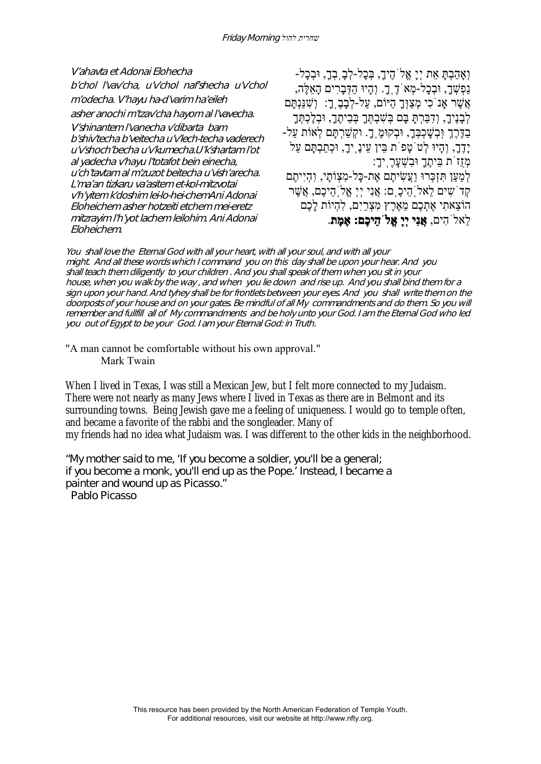V'ahavta et Adonai Elohecha b'chol l'vav'cha, u'v'chol naf'shecha u'v'chol <sup>m</sup>'odecha. V'hayu ha-d'varim ha'eileh asher anochi m'tzav'cha hayom al l'vavecha. V'shinantem l'vanecha v'dibarta bam b'shiv'techa b'veitecha u'v'lech-techa vaderech u'v'shoch'becha u'v'kumecha.U'k'shartam l'ot al yadecha v'hayu l'totafot bein einecha, u'ch'tavtam al m'zuzot beitecha u'vish'arecha. L'ma'an tizkaru va'asitem et-kol-mitzvotai <sup>v</sup>'h'yitem k'doshim lei-lo-hei-chemAni Adonai Eloheichem asher hotzeiti etchem mei-eretz mitzrayim l'h'yot lachem leilohim. Ani Adonai Eloheichem.

וְאָהַבְתָּ אֵת יְיָ אֱלֹהֶיך,ָ בְּכָל-לְבָֽבְך,ָ וּבְכָל- נַפְשְׁ ך,ָ וּבְכָל-מְאֹדֶֽך.ָ וְהָיוּ הַדְּבָרִים הָאֵלֶּה, אֲשֶׁ ר אָֽנֹכִי מְצַוְּךָ הַיּוֹם, עַל-לְבָבֶֽך:ָ וְשִׁ נַּנְתָּם לְבָנֶיךָ, וְדָבַּרְתַּ בָּם בְּשָׁבְתְּךָ בְּבֵיתֶךָ, וּבְלֶכְתְּךָ בְּדֶּרֶךְ וְּבְשָׁכִבְּךָ, וּבְקוּמֵֽ ךָ. וקִשַּׁרְתָּם לְאוֹת עַל-יָדֶך,ָ וְהָיוּ לְטֹטָפֹת בֵּין עֵינֶֽיך,ָ וּכְתַבְתָּם עַל מְזֻזֹת בֵּיתֶךָ וּבִשְׁ עָרֶֽיך:ָ לְמַעַן תִּזְכְּרוּ וַעֲשִׂ יתֶם אֶת-כָּל-מִצְוֹתָי, וִהְיִיתֶם קְדֹשִ ים לֵאלֹֽהֵיכֶֽם: אֲנִי יְיְ אֱלֹֽהֵיכֶם, אֲשֶׁ ר הוֹצֵאתִי אֶתְכֶם מֵאֶרֶץ מִצְרַיִם, לִהְיוֹת לָכֶם לֵאלֹהִים, **אֲנִי יְיָ אֱלֹהֵיכֶם: אֶמֶת**.

You shall love the Eternal God with all your heart, with all your soul, and with all your might. And all these words which I command you on this day shall be upon your hear. And you shall teach them diligently to your children . And you shall speak of them when you sit in your house, when you walk by the way , and when you lie down and rise up. And you shall bind them for a sign upon your hand. And tyhey shall be for frontlets between your eyes. And you shall write them on the doorposts of your house and on your gates. Be mindful of all My commandments and do them. So you will remember and fullfill all of My commandments and be holy unto your God. I am the Eternal God who led you out of Egypt to be your God. I am your Eternal God: in Truth.

"A man cannot be comfortable without his own approval." Mark Twain

When I lived in Texas, I was still a Mexican Jew, but I felt more connected to my Judaism. There were not nearly as many Jews where I lived in Texas as there are in Belmont and its surrounding towns. Being Jewish gave me a feeling of uniqueness. I would go to temple often, and became a favorite of the rabbi and the songleader. Many of my friends had no idea what Judaism was. I was different to the other kids in the neighborhood.

"My mother said to me, 'If you become a soldier, you'll be a general; if you become a monk, you'll end up as the Pope.' Instead, I became a painter and wound up as Picasso."

Pablo Picasso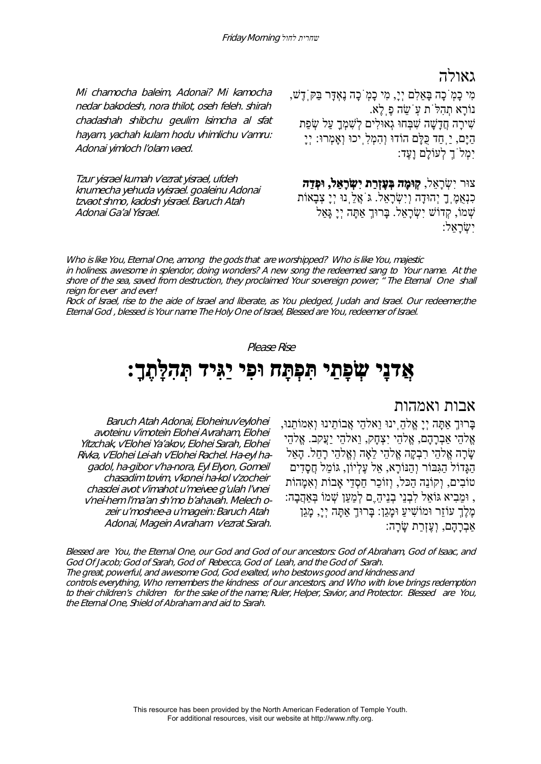גאולה

Mi chamocha baleim, Adonai? Mi kamocha nedar bakodesh, nora thilot, oseh feleh. shirah chadashah shibchu geulim lsimcha al sfat hayam, yachah kulam hodu vhimlichu v'amru: Adonai yimloch l'olam vaed.

Tzur yisrael kumah v'ezrat yisrael, ufdeh knumecha yehuda vyisrael. goaleinu Adonai tzvaot shmo, kadosh yisrael. Baruch Atah Adonai Ga'al Yisrael.

מִי כָמֹֽכָה בָּאֵלִם יְי,ָ מִי כָמֹֽכָה נֶאְדָּר בַּקֹּֽדֶשׁ, נוֹרָא תְהִלֹּת עֹֽשֵׂ ה פֶֽלֶא. שִׁירָה חָדְשָׁה שַׁבַּחוּ גִאוּלִים לְשַׁמַּךְ עַל שַׂפַּת הַיָּם, יַֽחַד כֻּלָּם הוֹדוּ וְהִמְלִֽיכוּ וְאָמְרוּ: יְיָ יִמְלֹךְ לְעוֹלָם וָעֶד:

צוּר יִשְׂ רָאֵל, **קֽוּמָה בְּעֶזְרַת יִשְׂ רָאֵל, וּפְדֵה** כִנְאֻמֶֽךָ יְהוּדָה וְיִשְׂ רָאֵל. גֹּאֲלֵֽנוּ יְיָ צְבָאוֹת שְׁמוֹ, קְדוֹשׁ יִשְׂרָאל. בַּרוּךְ אַתַּה יְיָ גַּאַל יִשְׂ רָאֵל:

Who is like You, Eternal One, among the gods that are worshipped? Who is like You, majestic in holiness. awesome in splendor, doing wonders? A new song the redeemed sang to Your name. At the shore of the sea, saved from destruction, they proclaimed Your sovereign power; " The Eternal One shall reign for ever and ever!

Rock of Israel, rise to the aide of Israel and liberate, as You pledged, Judah and Israel. Our redeemer,the Eternal God , blessed is Your name The Holy One of Israel, Blessed are You, redeemer of Israel.

#### Please Rise

# **אֲדנָי שְׂ פָתַי תִּפְתָּח וּפִי יַגִּיד תְּהִלָּתֶ :ךָ**

## אבות ואמהות

Baruch Atah Adonai, Eloheinuv'eylohei avoteinu v'imotein Elohei Avraham, Elohei Yitzchak, v'Elohei Ya'akov, Elohei Sarah, Elohei Rivka, v'Elohei Lei-ah v'Elohei Rachel. Ha-eyl hagadol, ha-gibor v'ha-nora, Eyl Elyon, Gomeil chasadim tovim, v'konei ha-kol v'zocheir chasdei avot v'imahot u'meivee g'ulah l'vnei v'nei-hem l'ma'an sh'mo b'ahavah. Melech ozeir u'moshee-a u'magein: Baruch Atah Adonai, Magein Avraham v'ezrat Sarah. בָּרוּךְ אַתָּה יְיָ אֱלהֵֽינוּ וֵאלהֵי אֲבוֹתֵינוּ וְאִמוֹתֵנוּ, אֱלהֵי אַבְרָהָם, אֱלהֵי יִצְחָק, וֵאלהֵי יַעֲקב. אֱלהֵי שָׂ רָה אֱלהֵי רִבְקָה אֱלהֵי לֵאָה וְאֱלהֵי רָחֵל. הָאֵל הַגָּדוֹל הַגִּבּוֹר וְהַנּוֹרָא, אֵל עֶלְיוֹן, גּוֹמֵל חֲסָדִים טוֹבִים, וְקוֹנָה הִכִּל, וְזוֹכֵר חִסְדִי אָבוֹת וְאִמְהוֹת , וּמֵבִיא גּוֹאֵל לִבְנֵי בְנֵיהָ ֵם לְמַעַן שִׁמוֹ בְּאַהֲבָה: מֶלֶךְ עוֹזֵר וּמוֹשִׁיעַ וּמָגֵן: בָּרוּךְ אַתָּה יְי,ָ מָגֵן אַבְרָהָם, וְעֶזְרַת שָׂ רָה:

Blessed are You, the Eternal One, our God and God of our ancestors: God of Abraham, God of Isaac, and God Of Jacob; God of Sarah, God of Rebecca, God of Leah, and the God of Sarah. The great, powerful, and awesome God, God exalted, who bestows good and kindness and controls everything, Who remembers the kindness of our ancestors, and Who with love brings redemption to their children's children for the sake of the name; Ruler, Helper, Savior, and Protector. Blessed are You, the Eternal One, Shield of Abraham and aid to Sarah.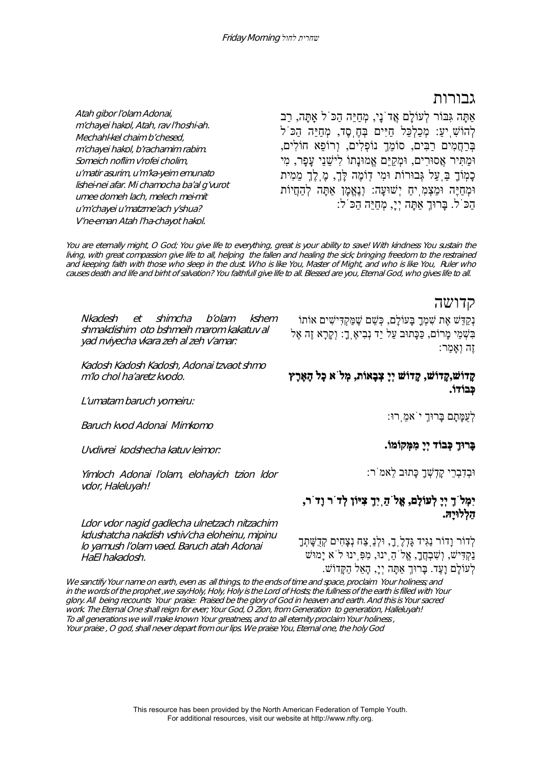## גבורות

Atah gibor l'olam Adonai, <sup>m</sup>'chayei hakol, Atah, rav l'hoshi-ah. Mechahl-kel chaim b'chesed, <sup>m</sup>'chayei hakol, b'rachamim rabim. Someich noflim v'rofei cholim, <sup>u</sup>'matir asurim, u'm'ka-yeim emunato lishei-nei afar. Mi chamocha ba'al g'vurot umee domeh lach, melech mei-mit <sup>u</sup>'m'chayei u'matzme'ach y'shua? V'ne-eman Atah l'ha-chayot hakol.

אַתָּה גִּבּוֹר לְעוֹלָם אֲדֹנָי, מְחַיֵּה הַכֹּל אַֽתָּה, רַב לְהוֹשִׁ ֽיע:ַ מְכַלְכֵּל חַיִּים בְּחֶֽסֶד, מְחַיֵּה הַכֹּל בְּרַחֲמִים רַבִּים, סוֹמֵךְ נוֹפְלִים, וְרוֹפֵא חוֹלִים, וּמַתִּיר אֲסוּרִים, וּמְקַיֵּם אֱמוּנָתוֹ לִישֵׁ נֵי עָפָר, מִי כָמֽוֹךָ בַּֽעַל גְּבוּרוֹת וּמִי דֽוֹמֶה לָּך,ְ מֶֽלֶךְ מֵמִית וּמְחַיֶּה וּמַצְמִֽיחַ יְשׁוּעָה: וְנֶאֱמָן אַתָּה לְהַחֲיוֹת הַכֹּל. בָּרוּךְ אַתָּה יְי,ָ מְחַיֵּה הַכֹּל:

You are eternally might, O God; You give life to everything, great is your ability to save! With kindness You sustain the living, with great compassion give life to all, helping the fallen and healing the sick; bringing freedom to the restrained and keeping faith with those who sleep in the dust. Who is like You, Master of Might, and who is like You, Ruler who causes death and life and birht of salvation? You faithfull give life to all. Blessed are you, Eternal God, who gives life to all.

#### קדושה

נְקַדֵּשׁ אֶת שִׁ מְךָ בָּעוֹלָם, כְּשֵׁ ם שֶׁ מַּקְדִּישִׁ ים אוֹתוֹ בִּשְׁ מֵי מָרוֹם, כַּכָּתוּב עַל יַד נְבִיאֶֽך:ָ וְקָרָא זֶה אֶל זֶה וְאָמַר:

#### **קָדוֹשׁ,קָדוֹשׁ, קָדוֹשׁ יְיָ צְבָאוֹת, מְלֹא כָל הָאָֽרֶץ כְּבוֹדוֹ.**

לְעֻמָּתָם בָּרוּךְ יֹאמֵֽרוּ:

#### **בָּרוּךְ כְּבוֹד יְיָ מִמְּקוֹמ .וֹ**

וּבְדִבְרֵי קָדְשְׁ ךָ כָּתוּב לֵאמֹר:

## **יִמְלֹךְ יְיָ לְעוֹלָם, אֱלֹהַֽיִךְ צִיּוֹן לְדֹר וָדֹר, הַלְלוּיָהּ.**

לְדוֹר וָדוֹר נַגִּיד גָּדְלֶֽך,ָ וּלְנֵֽצַח נְצָחִים קְדֻשָּׁ תְךָ נַקְדִּישׁ, וְשָׁבְחֲךָ, אֱל<sup>ֹי</sup>הֲ יִנוּ, מִפְּ יִנוּ ל<sup>ֹ</sup>א יָמוּשׁ לְעוֹלָם וָעֶ . ד בָּרוּךְ אַתָּה יְי,ָ הָאֵל הַקָּדוֹשׁ.

Nkadesh et shimcha b'olam kshem shmakdishim oto bshmeih marom kakatuv al yad nviyecha vkara zeh al zeh v'amar:

Kadosh Kadosh Kadosh, Adonai tzvaot shmo m'lo chol ha'aretz kvodo.

L'umatam baruch yomeiru:

Baruch kvod Adonai Mimkomo

Uvdivrei kodshecha katuv leimor:

Yimloch Adonai l'olam, elohayich tzion ldor vdor, Haleluyah!

Ldor vdor nagid gadlecha ulnetzach nitzachim kdushatcha nakdish vshiv'cha eloheinu, mipinu lo yamush l'olam vaed. Baruch atah Adonai HaEl hakadosh.

We sanctify Your name on earth, even as all things, to the ends of time and space, proclaim Your holiness; and in the words of the prophet ,we say:Holy, Holy, Holy is the Lord of Hosts; the fullness of the earth is filled with Your glory. All being recounts Your praise: Praised be the glory of God in heaven and earth. And this is Your sacred work. The Eternal One shall reign for ever; Your God, O Zion, from Generation to generation, Halleluyah! To all generations we will make known Your greatness, and to all eternity proclaim Your holiness , Your praise , O god, shall never depart from our lips. We praise You, Eternal one, the holy God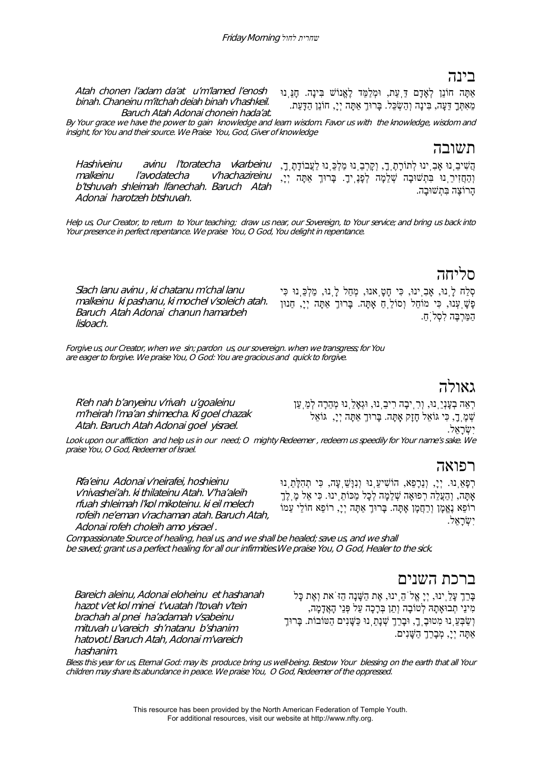# בינה

Atah chonen l'adam da'at u'm'lamed l'enosh binah. Chaneinu m'itchah deiah binah v'hashkeil. Baruch Atah Adonai chonein hada'at.

אַתָּה חוֹנֵן לְאָדָם דַּֽעַת, וּמְלַמֵּד לֶאֱנוֹשׁ בִּינָה. חָנֵּֽנוּ מֵאִתְּךָ דֵּעָה, בִּינָה וְהַשְׂ כֵּל. בָּרוּךְ אַתָּה יְי,ָ חוֹנֵן הַדָּעַת.

By Your grace we have the power to gain knowledge and learn wisdom. Favor us with the knowledge, wisdom and insight, for You and their source. We Praise You, God, Giver of knowledge

# תשובה

Hashiveinu avinu l'toratecha vkarbeinu malkeinu l'avodatecha v'hachazireinu b'tshuvah shleimah lfanechah. Baruch Atah Adonai harotzeh btshuvah. הֲשִׁ יבֵֽנוּ אָבִֽינוּ לְתוֹרָתֶֽך,ָ וְקָרְבֵֽנוּ מַלְכֵּֽנוּ לַעֲבוֹדָתֶֽך,ָ וְהַחֲזִירֵֽנוּ בִּתְשׁוּבָה שְׁ לֵמָה לְפָנֶֽיך.ָ בָּרוּךְ אַתָּה יְי,ָ הָרוֹצֶה בִּתְשׁוּבָה.

Help us, Our Creator, to return to Your teaching; draw us near, our Sovereign, to Your service; and bring us back into Your presence in perfect repentance. We praise You, O God, You delight in repentance.

# סליחה

Slach lanu avinu , ki chatanu m'chal lanu malkeinu ki pashanu, ki mochel v'soleich atah. Baruch Atah Adonai chanun hamarbeh lisloach.

סְלַח לָֽנוּ, אָבִֽינוּ, כִּי חָטָֽאנוּ, מְחַל לָֽנוּ, מַלְכֵּֽנוּ כִּי פָשָׁ ֽעְנוּ, כִּי מוֹחֵל וְסוֹלֵֽחַ אָֽתָּה. בָּרוּךְ אַתָּה יְי,ָ חַנוּן הַמַּרְבֶּה לִסְלֹֽח.ַ

Forgive us, our Creator, when we sin; pardon us, our sovereign. when we transgress; for You are eager to forgive. We praise You, O God: You are gracious and quick to forgive.

# גאולה

R'eh nah b'anyeinu v'rivah u'goaleinu <sup>m</sup>'heirah l'ma'an shimecha. Ki goel chazak Atah. Baruch Atah Adonai goel yisrael.

רְאֵה בְעָנְיֵֽנוּ, וְרִֽיבָה רִיבֵֽנוּ, וּגְאָלֵֽנוּ מְהֵרָה לְמַֽעַן שְׁ מֶֽך,ָ כִּי גּוֹאֵל חָזָק אָֽתָּה. בָּרוּךְ אַתָּה יְי,ָ גּוֹאֵל יִשְׂ רָאֵל.

Look upon our affliction and help us in our need; O mighty Redeemer , redeem us speedily for Your name's sake. We praise You, O God, Redeemer of Israel.

# רפואה

Rfa'einu Adonai v'neirafei, hoshieinu v'nivashei'ah. ki thilateinu Atah. V'ha'aleih rfuah shleimah l'kol mikoteinu. ki eil melech rofeih ne'eman v'rachaman atah. Baruch Atah, Adonai rofeh choleih amo yisrael .

רְפָאֵֽנוּ. יְי,ָ וְנֵרָפֵא, הוֹשִׁ יעֵֽנוּ וְנִוָּשֵׁ ֽעָה, כִּי תְהִלָּתֵֽנוּ אָתַּה, וְהַעֲלֵה רִפוּאָה שָׁלֵמֵה לְכָל מַכּוֹתֵ ינוּ. כִּי אֵל מֶ**ֶ** לֶךְ רוֹפֵא נֶאֱמָן וְרַחֲמָן אָתָּה. בָּרוּךְ אַתָּה יְי,ָ רוֹפֵא חוֹלֵי עַמוֹ יִשְׂ רָאֵל.

Compassionate Source of healing, heal us, and we shall be healed; save us, and we shall be saved; grant us a perfect healing for all our infirmities.We praise You, O God, Healer to the sick.

ברכת השנים

Bareich aleinu, Adonai eloheinu et hashanah hazot v'et kol minei t'vuatah l'tovah v'tein brachah al pnei ha'adamah v'sabeinu mituvah u'vareich sh'natanu b'shanim hatovot.l Baruch Atah, Adonai m'vareich hashanim.

בָּרֵךְ עָלֵֽינוּ, יְיָ אֱלֹהֵֽינוּ, אֶת הַשָּׁ נָה הַזֹּאת וְאֶת כָּל מִינֵי תְבוּאָתָהּ לְטוֹבָה וְתֵן בְּרָכָה עַל פְּנֵי הָאֲדָמָה, וְשַׁבְּעֵ נוּ מִטוּבֶ ךָ, וּבָרֵךְ שְׁנָתֵ נוּ כַּשָּׁנִים הַטּוֹבוֹת. בָּרוּךָ אַתָּה יְי,ָ מְבָרֵךְ הַשָּׁ נִים.

Bless this year for us, Eternal God: may its produce bring us well-being. Bestow Your blessing on the earth that all Your children may share its abundance in peace. We praise You, O God, Redeemer of the oppressed.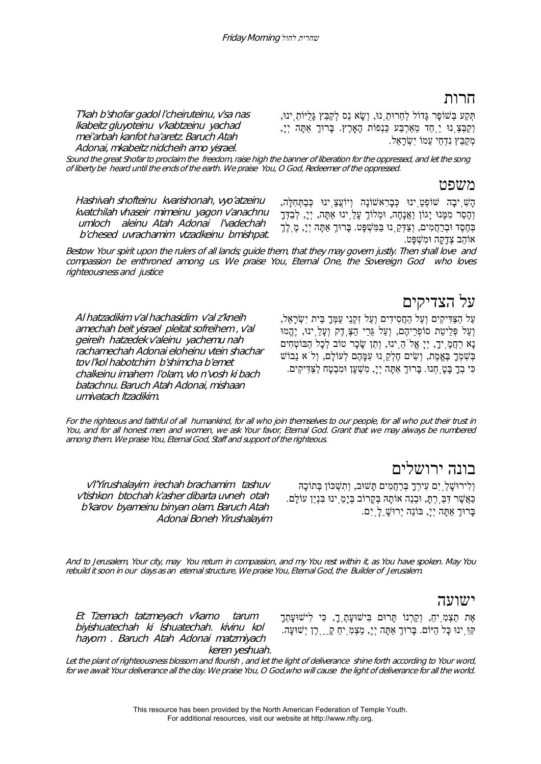# חרות

T'kah b'shofar gadol l'cheiruteinu, v'sa nas lkabeitz gluyoteinu v'kabtzeinu yachad mei'arbah kanfot ha'aretz. Baruch Atah Adonai, mkabeitz nidcheih amo yisrael.

תְּקַע בְּשׁוֹפָר גָּדוֹל לְחֵרוּתֵֽנוּ, וְשָׂ א נֵס לְקַבֵּץ גָּלֻיּוֹתֵֽינוּ, וְקַבְּצֵֽנוּ יַֽחַד מֵאַרְבַּע כַּנְפוֹת הָאָֽרֶץ. בָּרוּךְ אַתָּה יְי,ָ מְקַבֵּץ נִדְחֵי עַמוֹ יִשְׂרַאֵל.

Sound the great Shofar to proclaim the freedom, raise high the banner of liberation for the oppressed, and let the song of liberty be heard until the ends of the earth. We praise You, O God, Redeemer of the oppressed.

#### משפט

Hashivah shofteinu kvarishonah, vyo'atzeinu kvatchilah vhaseir mimeinu yagon v'anachnu umloch aleinu Atah Adonai l'vadechah b'chesed uvrachamim vtzadkeinu bmishpat.

הָשִׁ ֽיבָה שׁוֹפְטֵֽינוּ כְּבָרִאשׁוֹנָה וְיוֹעֲצֵֽינוּ כְּבַתְּחִלָּה, וְהָסֵר מִמֶּנוּ יָגוֹן וַאֲנָחָה, וּמְלוֹךְ עָלֵֽינוּ אַתָּה, יְי,ָ לְבַדְּךָ בְּחֶסֶד וּבְרַחֲמִים, וְצַדְּקֵֽנוּ בַּמִּשְׁ פָּט. בָּרוּךְ אַתָּה יְי,ָ מֶֽלֶךְ אוֹהֵב צְדָקָה וּמִשְׁ פָּט.

Bestow Your spirit upon the rulers of all lands; guide them, that they may govern justly. Then shall love and compassion be enthroned among us. We praise You, Eternal One, the Sovereign God who loves righteousness and justice

Al hatzadikim v'al hachasidim v'al z'kneih amechah beit yisrael pleitat sofreihem , v'al geireih hatzedek v'aleinu yachemu nah rachamechah Adonai eloheinu vtein shachar tov l'kol habotchim b'shimcha b'emet chalkeinu imahem l'olam, vlo n'vosh ki bach batachnu. Baruch Atah Adonai, mishaan umivatach ltzadikim.

על הצדיקים

עַל הַצַּדִּיקִים וְעַל הַחֲסִידִים וְעַל זִקְנֵי עַמְּךָ בֵּית יִשְׂ רָאֵל, וְעַל פְּלֵיטַת סוֹפְרֵיהֶם, וְעַל גֵּרֵי הַצֶּֽדֶק וְעָלֵֽינוּ, יֶהֱמוּ נָא רַחֲמֶֽיך,ָ יְיָ אֱלֹהֵֽינוּ, וְתֵן שָׂ כָר טוֹב לְכָל הַבּוֹטְחִים בְּשִׁ מְךָ בֶּאֱמֶת ו,ְ שִׂ ים חֶלְקֵֽנוּ עִמָּהֶם לְעוֹלָם, וְלֹא נֵבוֹשׁ כִּי בְךָ בָּטָֽחְנוּ. בָּרוּךְ אַתָּה יְי,ָ מִשְׁ עָן וּמִבְטָח לַצַּדִּיקִים.

For the righteous and faithful of all humankind, for all who join themselves to our people, for all who put their trust in You, and for all honest men and women, we ask Your favor, Eternal God. Grant that we may always be numbered among them. We praise You, Eternal God, Staff and support of the righteous.

# בונה ירושלים

וְלִירוּשָׁ לַֽיִם עִירְךָ בְּרַחֲמִים תָּשׁוּב, וְתִשְׁ כּוֹן בְּתוֹכָהּ כַּאֲשֶׁ ר דִּבַּֽרְתּ,ָ וּבְנֵה אוֹתָהּ בְּקָרוֹב בְּיָמֵֽינוּ בִּנְיַן עוֹלָם. בָּרוּךְ אַתָּה יְי,ָ בּוֹנֵה יְרוּשָׁ ַלָֽיִם.

<sup>v</sup>'l'Yirushalayim irechah brachamim tashuv v'tishkon btochah k'asher dibarta uvneh otah b'karov byameinu binyan olam. Baruch Atah Adonai Boneh Yirushalayim

And to Jerusalem, Your city, may You return in compassion, and my You rest within it, as You have spoken. May You rebuild it soon in our days as an eternal structure, We praise You, Eternal God, the Builder of Jerusalem.

#### ישועה

Et Tzemach tatzmeyach v'karno tarum biyishuatechah ki lshuatechah. kivinu kol hayom . Baruch Atah Adonai matzmiyach keren yeshuah.

אֶת תַצְמִֽיח,ַ וְקַרְנוֹ תָּרוּם בִּישׁוּעָתֶֽך,ָ כִּי לִישׁוּעָתְךָ קִּוִּֽינוּ כָּל הַיּוֹם. בָּרוּךְ אַתָּה יְי,ָ מַצְמִֽיחַ קֵֵֶֽרֶן יְשׁוּעָה.

Let the plant of righteousness blossom and flourish, and let the light of deliverance shine forth according to Your word, for we await Your deliverance all the day. We praise You, O God,who will cause the light of deliverance for all the world.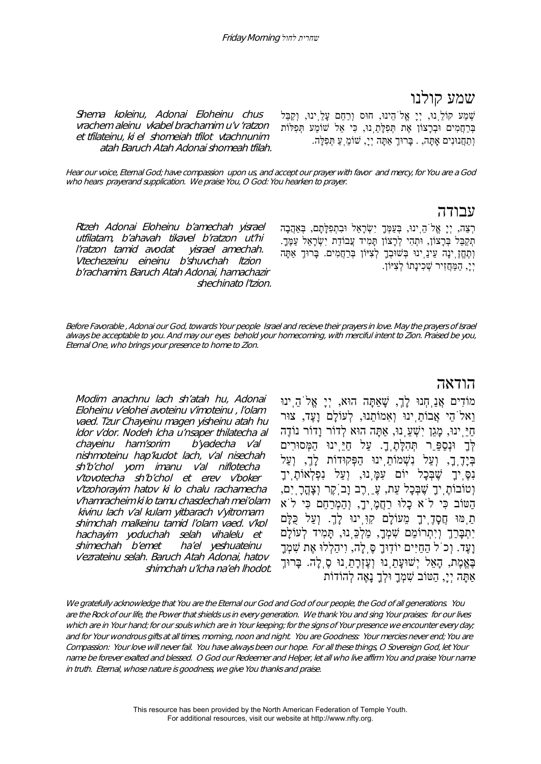# שמע קולנו

Shema koleinu, Adonai Eloheinu chus vrachem aleinu vkabel brachamim u'v 'ratzon et tfilateinu, ki el shomeiah tfilot vtachnunim atah Baruch Atah Adonai shomeah tfilah. שְׁ מַע קוֹלֵֽנוּ, יְיָ אֱלֹהֵינוּ, חוּס וְרַחֵם עָלֵֽינוּ, וְקַבֵּל בְּרַחֲמִים וּבְרָצוֹן אֶת תְּפִלָּתֵֽנוּ, כִּי אֵל שׁוֹמֵע תְּפִלּוֹת וְתַחֲנוּנִים אָֽתָּה, . בָּרוּךְ אַתָּה יְי,ָ שׁוֹמֵֽעַ תְּפִלָּה.

Hear our voice, Eternal God; have compassion upon us, and accept our prayer with favor and mercy, for You are a God who hears prayerand supplication. We praise You, O God: You hearken to prayer.

#### עבודה

רְצֵה, יְיָ אֱלֹהֵֽינוּ, בְּעַמְּךָ יִשְׂ רָאֵל וּבִתְפִלָּתָם, בְּאַהֲבָה תִקַבֵּל בְּרָצוֹן, וּתְהִי לְרָצוֹן תַּמִיד עֲבוֹדַת יִשְׂרָאֵל עַמֶּךָ. וְתֶחֱזֶֽינָה עֵינֵֽינוּ בְּשׁוּבְךָ לְצִיּוֹן בְּרַחֲמִים. בָּרוּךְ אַתָּה יְי,ָ הַמַּחֲזִיר שְׁ כִינָתוֹ לְצִיּוֹן.

Rtzeh Adonai Eloheinu b'amechah yisrael utfilatam, b'ahavah tikavel b'ratzon ut'hi l'ratzon tamid avodat yisrael amechah. Vtechezeinu eineinu b'shuvchah ltzion b'rachamim. Baruch Atah Adonai, hamachazir shechinato l'tzion.

Before Favorable , Adonai our God, towards Your people Israel and recieve their prayers in love. May the prayers of Israel always be acceptable to you. And may our eyes behold your homecoming, with merciful intent to Zion. Praised be you, Eternal One, who brings your presence to home to Zion.

## הודאה

Modim anachnu lach sh'atah hu, Adonai Eloheinu v'elohei avoteinu v'imoteinu , l'olam vaed. Tzur Chayeinu magen yisheinu atah hu ldor v'dor. Nodeh lcha u'nsaper thilatecha al chayeinu ham'sorim b'yadecha v'al nishmoteinu hap'kudot lach, v'al nisechah sh'b'chol yom imanu v'al niflotecha v'tovotecha sh'b'chol et erev v'boker <sup>v</sup>'tzohorayim hatov ki lo chalu rachamecha v'hamracheim ki lo tamu chasdechah mei'olam kivinu lach v'al kulam yitbarach v'yitromam shimchah malkeinu tamid l'olam vaed. v'kol hachayim yoduchah selah vihalelu et shimechah b'emet ha'el yeshuateinu <sup>v</sup>'ezrateinu selah. Baruch Atah Adonai, hatov shimchah u'lcha na'eh lhodot. מוֹדִים אֲנַֽחְנוּ לָך,ְ שָׁאַתָּה הוּא, יְיָ אֱלֹהֵֽינוּ וֵאלֹהֵי אֲבוֹתֵֽינוּ וְאִמוֹתֵנוּ, לְעוֹלָם וָעֶד, צוּר חַיֵּֽינוּ, מָגֵן יִשְׁ עֵֽנוּ, אַתָּה הוּא לְדוֹר וָדוֹר נוֹדֶה לְּךָ וּנְסַפֵֵּר תְּהִלָּתֶֽך.ָ עַל חַיֵּֽינוּ הַמְּסוּרִים בְּיָדֶֽך,ָ וְעַל נִשְׁ מוֹתֵֽינוּ הַפְּקוּדוֹת לָך,ְ וְעַל נִסֶּ<sup>ֶּ</sup>יךָ שֶׁבְּכָל יוֹם עָמַּֽנוּ, וְעַל נִפְלְאוֹתֶ יִךָ וְטוֹבוֹתֶֽיךָ שֶׁ בְּכָל עֵת, עֵֶֽרֶב וָבֹֽקֶר וְצָהֳרָֽיִם, הַטּוֹב כִּי לֹא כָלוּ רַחֲמֶֽיך,ָ וְהַמְרַחֵם כִּי לֹא תַֽמּוּ חֲסָדֶֽיךָ מֵעוֹלָם קִוִּֽינוּ לָך.ְ וְעַל כֻּלָּם יִתְבָּרַךְ וְיִתְרוֹמַם שִׁ מְך,ָ מַלְכֵּֽנוּ, תָּמִיד לְעוֹלָם וָעֶד. וְכֹל הַחַיִּים יוֹדֽוּךָ סֶּֽלָה, וִיהַלְלוּ אֶת שִׁ מְךָ בֶּאֱמֶת, הָאֵל יְשׁוּעָתֵֽנוּ וְעֶזְרָתֵֽנוּ סֶֽלָה. בָּרוּךְ אַתָּה יְי,ָ הַטּוֹב שִׁ מְךָ וּלְךָ נָאֶה לְהוֹדוֹת

We gratefully acknowledge that You are the Eternal our God and God of our people, the God of all generations. You are the Rock of our life, the Power that shields us in every generation. We thank You and sing Your praises: for our lives which are in Your hand; for our souls which are in Your keeping; for the signs of Your presence we encounter every day; and for Your wondrous gifts at all times, morning, noon and night. You are Goodness: Your mercies never end; You are Compassion: Your love will never fail. You have always been our hope. For all these things, O Sovereign God, let Your name be forever exalted and blessed. O God our Redeemer and Helper, let all who live affirm You and praise Your name in truth. Eternal, whose nature is goodness, we give You thanks and praise.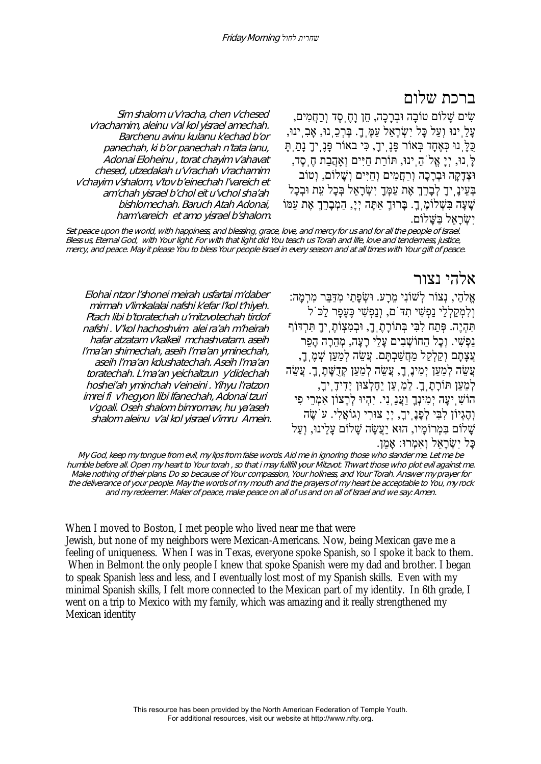# ברכת שלום

שִׂ ים שָׁ לוֹם טוֹבָה וּבְרָכָה, חֵן וָחֶֽסֶד וְרַחֲמִים, ּעָלֵ֖ יִנוּ וְעַל כָּל יִשְׂרָאֵל עַמֶּ֑ ךָָ. בָּרְכֵ֣ נוּ, אָבְ יִנוּ, כֻּלָּֽנוּ כְּאֶחָד בְּאוֹר פָּנֶֽיך,ָ כִּי באוֹר פָּנֶֽיךָ נָתַֽתָּ לָּֽנוּ, יְיָ אֱלֹהֵֽינוּ, תּוֹרַת חַיִּים וְאַֽהֲבַת חֶֽסֶד, וּצְדָקָה וּבְרָכָה וְרַחֲמִים וְחַיִּים וְשָׁ לוֹם, וְטוֹב ּבְּעֵינָ יִךָ לְבָרֵךְ אֶת עַמְּךָ יִשְׂרָאֵל בְּכָל עֵת וּבְכָל שָׁ עָה בִּשְׁ לוֹמֶֽך.ָ בָּרוּךְ אַתָּה יְי,ָ הַמְבָרֵךְ אֶת עַמּוֹ יִשַּׂראַל בַּשֵּׁלוֹם.

Sim shalom u'v'racha, chen v'chesed <sup>v</sup>'rachamim, aleinu v'al kol yisrael amechah. Barchenu avinu kulanu k'echad b'or panechah, ki b'or panechah n'tata lanu, Adonai Eloheinu , torat chayim v'ahavat chesed, utzedakah u'v'rachah v'rachamim <sup>v</sup>'chayim v'shalom, v'tov b'einechah l'vareich et am'chah yisrael b'chol eit u'vchol sha'ah bishlomechah. Baruch Atah Adonai, ham'vareich et amo yisrael b'shalom.

Set peace upon the world, with happiness, and blessing, grace, love, and mercy for us and for all the people of Israel. Bless us, Eternal God, with Your light. For with that light did You teach us Torah and life, love and tenderness, justice, mercy, and peace. May it please You to bless Your people Israel in every season and at all times with Your gift of peace.

# אלהי נצור

אֱלהַי, נְצוֹר לְשׁוֹנִי מֵרָע. וּשְׂ פָתַי מִדַּבֵּר מִרְמָה: וְלִמְקַלְלַי נַפְשִׁ י תִדֹּם, וְנַפְשִׁ י כֶּעָפָר לַכֹּל תִּהְיֶה. פְּתַח לִבִּי בְּתוֹרָתֶֽך,ָ וּבְמִצְוֹתֶֽיךָ תִּרְדּוֹף נַפְשִׁ י. וְכָל הַחוֹשְׁ בִים עָלַי רָעָה, מְהֵרָה הָפֵר עֲצָתָם וְקַלְקֵל מַחֲשַׁבְתֲּם. עֲשֶׂה לְמַעַן שָׁמֶ ךָ, עֲשֶׂה לְמַעַן יְמִינֶ ךָ, עֲשֵׂה לְמַעַן קְדֻשָּׁתָ ךָ. עֲשֵׂה לְמַעַן תּוֹרָתֶֽך.ָ לַמַֽעַן יֵחָלְצוּן יְדִידֶֽיך,ָ הוֹשִׁ ֽיעָה יְמִינְךָ וַעֲנֵֽנִי. יִהְיוּ לְרָצוֹן אִמְרֵי פִי וְהֶגְיוֹן לִבִּי לְפָנָ יִךָ, יְיָ צוּרִי וְגוֹאֲלִי. עֹשֶׂה שָׁ לוֹם בִּמְרוֹמָיו, הוּא יַעֲשֶׂה שָׁ לוֹם עָלֵינוּ, וְעַל כָּל יִשְׂ רָאֵל וְאִמְרוּ: אָמֵן.

Elohai ntzor l'shonei meirah usfartai m'daber mirmah v'limkalalai nafshi k'efar l'kol t'hiyeh. Ptach libi b'toratechah u'mitzvotechah tirdof nafshi . V'kol hachoshvim alei ra'ah m'heirah hafar atzatam v'kalkeil mchashvatam. aseih l'ma'an shimechah, aseih l'ma'an yminechah, aseih l'ma'an kdushatechah. Aseih l'ma'an toratechah. L'ma'an yeichaltzun y'didechah hoshei'ah yminchah v'eineini . Yihyu l'ratzon imrei fi v'hegyon libi lfanechah, Adonai tzuri <sup>v</sup>'goali. Oseh shalom bimromav, hu ya'aseh shalom aleinu v'al kol yisrael v'imru Amein.

My God, keep my tongue from evil, my lips from false words. Aid me in ignoring those who slander me. Let me be humble before all. Open my heart to Your torah , so that i may fullfill your Mitzvot. Thwart those who plot evil against me. Make nothing of their plans. Do so because of Your compassion, Your holiness, and Your Torah. Answer my prayer for the deliverance of your people. May the words of my mouth and the prayers of my heart be acceptable to You, my rock and my redeemer. Maker of peace, make peace on all of us and on all of Israel and we say: Amen.

When I moved to Boston, I met people who lived near me that were Jewish, but none of my neighbors were Mexican-Americans. Now, being Mexican gave me a feeling of uniqueness. When I was in Texas, everyone spoke Spanish, so I spoke it back to them. When in Belmont the only people I knew that spoke Spanish were my dad and brother. I began to speak Spanish less and less, and I eventually lost most of my Spanish skills. Even with my minimal Spanish skills, I felt more connected to the Mexican part of my identity. In 6th grade, I went on a trip to Mexico with my family, which was amazing and it really strengthened my Mexican identity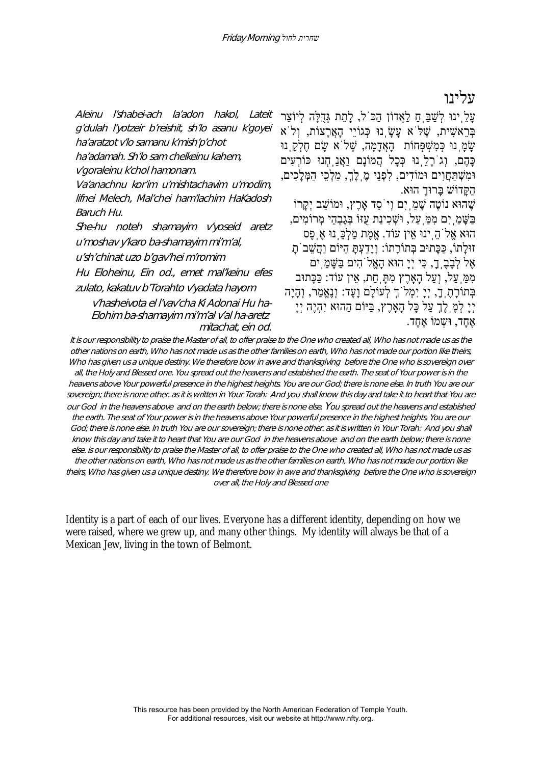# עלינו

Aleinu l'shabei-ach la'adon hakol, Lateit g'dulah l'yotzeir b'reishit, sh'lo asanu k'goyei ha'aratzot v'lo samanu k'mish'p'chot ha'adamah. Sh'lo sam chelkeinu kahem, <sup>v</sup>'goraleinu k'chol hamonam. Va'anachnu kor'im u'mishtachavim u'modim, lifnei Melech, Mal'chei ham'lachim HaKadosh Baruch Hu. She-hu noteh shamayim v'yoseid aretz <sup>u</sup>'moshav y'karo ba-shamayim mi'm'al, <sup>u</sup>'sh'chinat uzo b'gav'hei m'romim Hu Eloheinu, Ein od., emet mal'keinu efes zulato, kakatuv b'Torahto v'yadata hayom v'hasheivota el l'vav'cha Ki Adonai Hu ha-Elohim ba-shamayim mi'm'al v'al ha-aretz mitachat, ein od.

עַלְ יִנוּ לְשַׁבַּ חַ לְאֲדוֹן הַכּ<sup>ְי</sup>ל, לַתַת גְּדָלֵה לְיוֹצֵר בְּרֵאשִׁ ית, שֶׁ לֹּא עָשָׂ ֽנוּ כְּגוֹיֵי הָאֲרָצוֹת, וְלֹא שָׂמַ נוּ כְּמִשְׁפְּחוֹת הָאֲדָמָה, שֱלֹא שֵׂם חֶלְקָ נוּ כָּהֶם, וְגֹרָלֵֽנוּ כְּכָל הֲמוֹנָם וַאֲנַֽחְנוּ כּוֹרְעִים וּמִשְׁ תַּחֲוִים וּמוֹדִים, לִפְנֵי מֶֽלֶךְ מ,ַ לְכֵי הַמְּלָכִים, הַקָּדוֹשׁ בָּרוּךְ הוּא. שֶׁהוּא נוֹטֶה שַׁמ*ַ*יִם וְיֹסִד אָרֶץ, וּמוֹשַׁב יְקֵרוֹ בַּשָּׁ מַֽיִם מִמַּֽעַל, וּשְׁ כִינַת עֻזּוֹ בְּגָבְהֵי מְרוֹמִים, הוּא אֱלֹהֵֽינוּ אֵין עוֹד. אֱמֶת מַלְכֵּֽנוּ אֶֽפֶס זוּלָתוֹ, כַּכָּתוּב בְּתוֹרָתוֹ: וְיָדַעְתָּ הַיּוֹם וַהֲשֵׁ בֹתָ אֶל לְבָבֶֽך,ָ כִּי יְיָ הוּא הָאֱלֹהִים בַּשָּׁ מַֽים מִמַּֽעַל, וְעַל הָאָֽרֶץ מִתָּֽחַת, אֵין עוֹד: כַּכָּתוּב בְּתוֹרָתֶֽך,ָ יְיָ יִמְלֹךְ לְעוֹלָם וָעֶד: וְנֶאֱמַר, וְהָיָה יְיָ לְמֶֽלֶךְ עַל כָּל הָאָֽרֶץ, בַּיּוֹם הַהוּא יִהְיֶה יְיָ אֶחֲד, וּשָמוֹ אֶחֲד.

It is our responsibility to praise the Master of all, to offer praise to the One who created all, Who has not made us as the other nations on earth, Who has not made us as the other families on earth, Who has not made our portion like theirs, Who has given us a unique destiny. We therefore bow in awe and thanksgiving before the One who is sovereign over all, the Holy and Blessed one. You spread out the heavens and estabished the earth. The seat of Your power is in the heavens above Your powerful presence in the highest heights. You are our God; there is none else. In truth You are our sovereign; there is none other, as it is written in Your Torah: And you shall know this day and take it to heart that You are our God in the heavens above and on the earth below; there is none else. You spread out the heavens and estabished the earth. The seat of Your power is in the heavens above Your powerful presence in the highest heights. You are our God; there is none else. In truth You are our sovereign; there is none other. as it is written in Your Torah: And you shall know this day and take it to heart that You are our God in the heavens above and on the earth below; there is none else. is our responsibility to praise the Master of all, to offer praise to the One who created all, Who has not made us as the other nations on earth, Who has not made us as the other families on earth, Who has not made our portion like theirs, Who has given us a unique destiny. We therefore bow in awe and thanksgiving before the One who is sovereign over all, the Holy and Blessed one

Identity is a part of each of our lives. Everyone has a different identity, depending on how we were raised, where we grew up, and many other things. My identity will always be that of a Mexican Jew, living in the town of Belmont.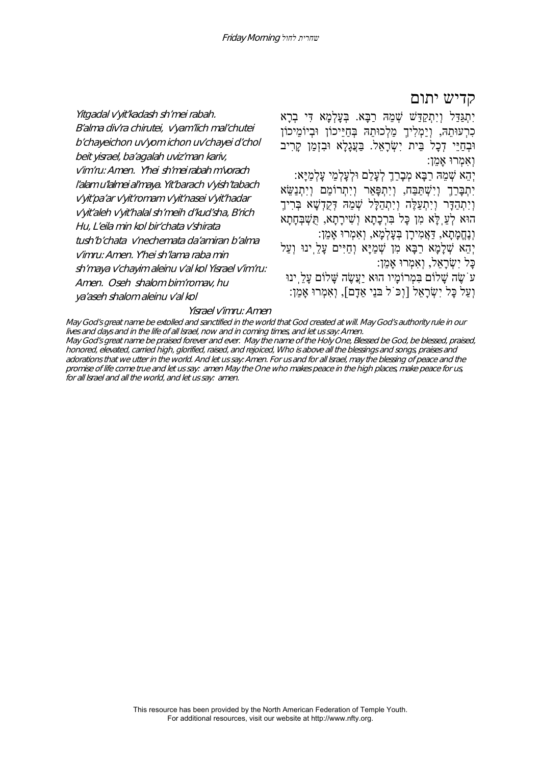קדיש יתום

b'chayeichon uv'yom ichon uv'chayei d'chol יִתְגַּדַּל וְיִתְקַדַּשׁ שְׁ מֵהּ רַבָּא. בְּעָלְמָא דִּי בְרָא כִרְעוּתֵהּ, וְיַמְלִיךְ מַלְכוּתֵהּ בְּחַיֵּיכוֹן וּבְיוֹמֵיכוֹן וּבְחֵיּי דָכָל בֵּית יִשְׂרָאל. בַּעֲגָלָא וּבזְמַן קַרִיב וְאִמְרוּ אָמֵן: יְהֵא שְׁ מֵהּ רַבָּא מְבָרַךְ לְעָלַם וּלְעָלְמֵי עָלְמַיָּא:

יִתְבָּרַךְ וְיִשְׁ תַּבַּח, וְיִתְפָּאַר וְיִתְרוֹמַם וְיִתְנַשֵּׂ א וְיִתְהַדָּר וְיִתְעַלֶ*ּה וְיִתְהַלָּל שְׁמֵהּ דְּקֵדְ*שָׁא בְּרִיךָ הוּא לְעֵֽלָּא מִן כָּל בִּרְכָתָא וְשִׁ ירָתָא, תֻּשְׁ בְּחָתָא וְנֶחֱמָתָא, דַּאֲמִירָן בְּעָלְמָא, וְאִמְרוּ אָמֵן: יְהֵא שְׁלָמָא רַבָּא מִן שִׁמַיַּא וְחַיִּים עַלַ<sup>י</sup>ִינוּ וְעַלֹ

כָּל יִשְׂ רָאֵל, וְאִמְרוּ אָמֵן:

עֹשֶׂה שָׁלוֹם בִּמְרוֹמָיו הוּא יַעֲשֶׂה שַׁלוֹם עַלֵּ ינוּ וְעַל כַּל יִשְׂרָאל [וְכֹּ`ל בּנִי אַדָם], וְאִמְרוּ אָמִן:

#### ya'aseh shalom aleinu v'al kol Yisrael v'imru: Amen

Yitgadal v'yit'kadash sh'mei rabah.

beit yisrael, ba'agalah uviz'man kariv,

Hu, L'eila min kol bir'chata v'shirata

v'imru: Amen. Y'hei sh'lama raba min

Amen. Oseh shalom bim'romav, hu

B'alma div'ra chirutei, v'yam'lich mal'chutei

v'im'ru: Amen. Y'hei sh'mei rabah m'vorach l'alam u'lalmei al'maya. Yit'barach v'yish'tabach <sup>v</sup>'yit'pa'ar v'yit'romam v'yit'nasei v'yit'hadar <sup>v</sup>'yit'aleh v'yit'halal sh'meih d'kud'sha, B'rich

tush'b'chata v'nechemata da'amiran b'alma

sh'maya v'chayim aleinu v'al kol Yisrael v'im'ru:

May God's great name be extolled and sanctified in the world that God created at will. May God's authority rule in our lives and days and in the life of all Israel, now and in coming times, and let us say: Amen. May God's great name be praised forever and ever. May the name of the Holy One, Blessed be God, be blessed, praised, honored, elevated, carried high, glorified, raised, and rejoiced, Who is above all the blessings and songs, praises and adorations that we utter in the world. And let us say: Amen. For us and for all Israel, may the blessing of peace and the promise of life come true and let us say: amen May the One who makes peace in the high places, make peace for us, for all Israel and all the world, and let us say: amen.